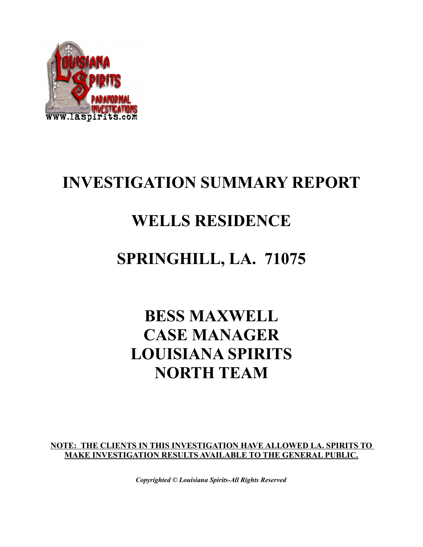

# **INVESTIGATION SUMMARY REPORT**

#### **WELLS RESIDENCE**

### **SPRINGHILL, LA. 71075**

# **BESS MAXWELL CASE MANAGER LOUISIANA SPIRITS NORTH TEAM**

**NOTE: THE CLIENTS IN THIS INVESTIGATION HAVE ALLOWED LA. SPIRITS TO MAKE INVESTIGATION RESULTS AVAILABLE TO THE GENERAL PUBLIC.**

*Copyrighted © Louisiana Spirits-All Rights Reserved*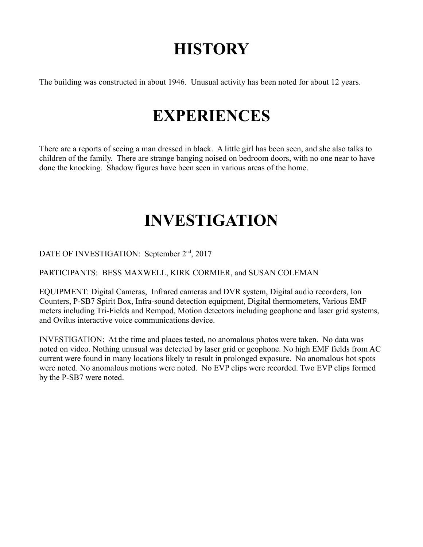### **HISTORY**

The building was constructed in about 1946. Unusual activity has been noted for about 12 years.

#### **EXPERIENCES**

There are a reports of seeing a man dressed in black. A little girl has been seen, and she also talks to children of the family. There are strange banging noised on bedroom doors, with no one near to have done the knocking. Shadow figures have been seen in various areas of the home.

#### **INVESTIGATION**

DATE OF INVESTIGATION: September 2<sup>nd</sup>, 2017

PARTICIPANTS: BESS MAXWELL, KIRK CORMIER, and SUSAN COLEMAN

EQUIPMENT: Digital Cameras, Infrared cameras and DVR system, Digital audio recorders, Ion Counters, P-SB7 Spirit Box, Infra-sound detection equipment, Digital thermometers, Various EMF meters including Tri-Fields and Rempod, Motion detectors including geophone and laser grid systems, and Ovilus interactive voice communications device.

INVESTIGATION: At the time and places tested, no anomalous photos were taken. No data was noted on video. Nothing unusual was detected by laser grid or geophone. No high EMF fields from AC current were found in many locations likely to result in prolonged exposure. No anomalous hot spots were noted. No anomalous motions were noted. No EVP clips were recorded. Two EVP clips formed by the P-SB7 were noted.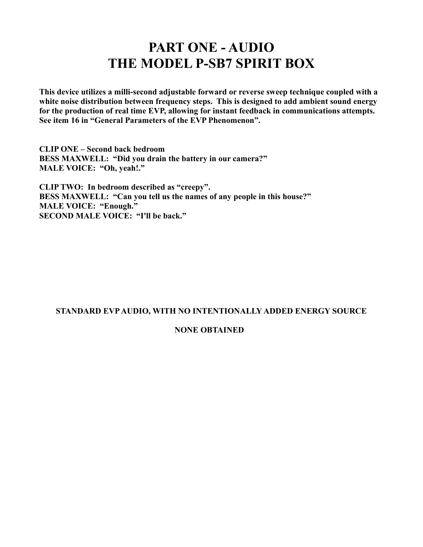#### **PART ONE - AUDIO THE MODEL P-SB7 SPIRIT BOX**

**This device utilizes a milli-second adjustable forward or reverse sweep technique coupled with a white noise distribution between frequency steps. This is designed to add ambient sound energy for the production of real time EVP, allowing for instant feedback in communications attempts. See item 16 in "General Parameters of the EVP Phenomenon".** 

**CLIP ONE – Second back bedroom BESS MAXWELL: "Did you drain the battery in our camera?" MALE VOICE: "Oh, yeah!."**

**CLIP TWO: In bedroom described as "creepy". BESS MAXWELL: "Can you tell us the names of any people in this house?" MALE VOICE: "Enough." SECOND MALE VOICE: "I'll be back."**

#### **STANDARD EVP AUDIO, WITH NO INTENTIONALLY ADDED ENERGY SOURCE**

#### **NONE OBTAINED**